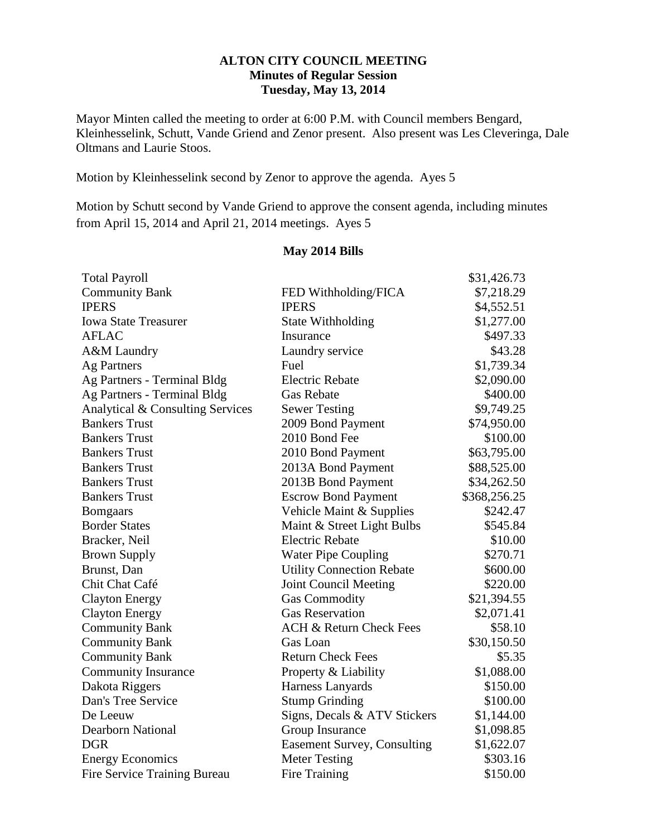## **ALTON CITY COUNCIL MEETING Minutes of Regular Session Tuesday, May 13, 2014**

Mayor Minten called the meeting to order at 6:00 P.M. with Council members Bengard, Kleinhesselink, Schutt, Vande Griend and Zenor present. Also present was Les Cleveringa, Dale Oltmans and Laurie Stoos.

Motion by Kleinhesselink second by Zenor to approve the agenda. Ayes 5

Motion by Schutt second by Vande Griend to approve the consent agenda, including minutes from April 15, 2014 and April 21, 2014 meetings. Ayes 5

### **May 2014 Bills**

| <b>Total Payroll</b>             |                                    | \$31,426.73  |
|----------------------------------|------------------------------------|--------------|
| <b>Community Bank</b>            | FED Withholding/FICA               | \$7,218.29   |
| <b>IPERS</b>                     | <b>IPERS</b>                       | \$4,552.51   |
| <b>Iowa State Treasurer</b>      | <b>State Withholding</b>           | \$1,277.00   |
| <b>AFLAC</b>                     | Insurance                          | \$497.33     |
| A&M Laundry                      | Laundry service                    | \$43.28      |
| <b>Ag Partners</b>               | Fuel                               | \$1,739.34   |
| Ag Partners - Terminal Bldg      | <b>Electric Rebate</b>             | \$2,090.00   |
| Ag Partners - Terminal Bldg      | <b>Gas Rebate</b>                  | \$400.00     |
| Analytical & Consulting Services | <b>Sewer Testing</b>               | \$9,749.25   |
| <b>Bankers Trust</b>             | 2009 Bond Payment                  | \$74,950.00  |
| <b>Bankers Trust</b>             | 2010 Bond Fee                      | \$100.00     |
| <b>Bankers Trust</b>             | 2010 Bond Payment                  | \$63,795.00  |
| <b>Bankers Trust</b>             | 2013A Bond Payment                 | \$88,525.00  |
| <b>Bankers Trust</b>             | 2013B Bond Payment                 | \$34,262.50  |
| <b>Bankers Trust</b>             | <b>Escrow Bond Payment</b>         | \$368,256.25 |
| <b>Bomgaars</b>                  | Vehicle Maint & Supplies           | \$242.47     |
| <b>Border States</b>             | Maint & Street Light Bulbs         | \$545.84     |
| Bracker, Neil                    | <b>Electric Rebate</b>             | \$10.00      |
| <b>Brown Supply</b>              | <b>Water Pipe Coupling</b>         | \$270.71     |
| Brunst, Dan                      | <b>Utility Connection Rebate</b>   | \$600.00     |
| Chit Chat Café                   | <b>Joint Council Meeting</b>       | \$220.00     |
| <b>Clayton Energy</b>            | <b>Gas Commodity</b>               | \$21,394.55  |
| <b>Clayton Energy</b>            | <b>Gas Reservation</b>             | \$2,071.41   |
| <b>Community Bank</b>            | <b>ACH &amp; Return Check Fees</b> | \$58.10      |
| <b>Community Bank</b>            | Gas Loan                           | \$30,150.50  |
| <b>Community Bank</b>            | <b>Return Check Fees</b>           | \$5.35       |
| <b>Community Insurance</b>       | Property & Liability               | \$1,088.00   |
| Dakota Riggers                   | Harness Lanyards                   | \$150.00     |
| Dan's Tree Service               | <b>Stump Grinding</b>              | \$100.00     |
| De Leeuw                         | Signs, Decals & ATV Stickers       | \$1,144.00   |
| <b>Dearborn National</b>         | Group Insurance                    | \$1,098.85   |
| <b>DGR</b>                       | <b>Easement Survey, Consulting</b> | \$1,622.07   |
| <b>Energy Economics</b>          | <b>Meter Testing</b>               | \$303.16     |
| Fire Service Training Bureau     | Fire Training                      | \$150.00     |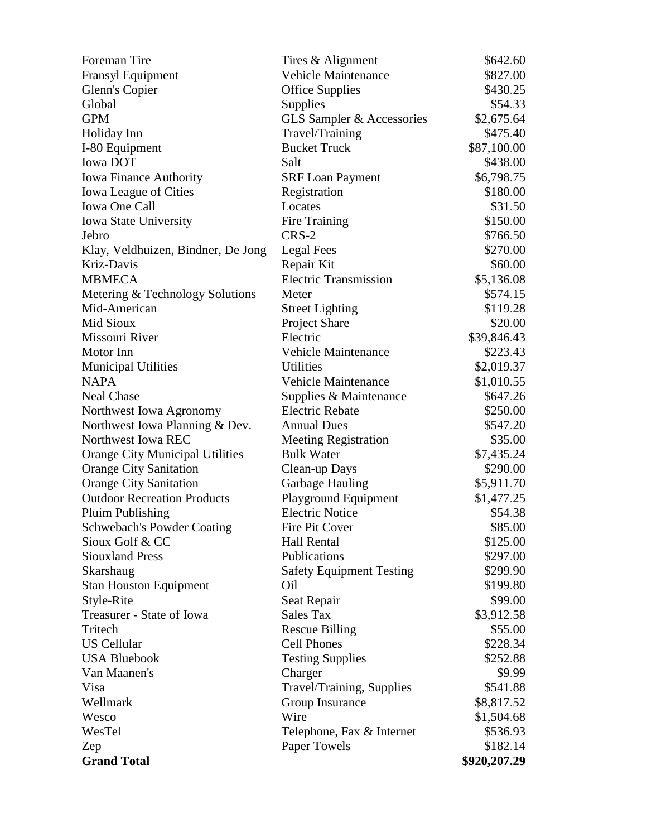| Foreman Tire                           | Tires & Alignment               | \$642.60     |
|----------------------------------------|---------------------------------|--------------|
| <b>Fransyl Equipment</b>               | <b>Vehicle Maintenance</b>      | \$827.00     |
| Glenn's Copier                         | <b>Office Supplies</b>          | \$430.25     |
| Global                                 | Supplies                        | \$54.33      |
| <b>GPM</b>                             | GLS Sampler & Accessories       | \$2,675.64   |
| Holiday Inn                            | Travel/Training                 | \$475.40     |
| I-80 Equipment                         | <b>Bucket Truck</b>             | \$87,100.00  |
| <b>Iowa DOT</b>                        | Salt                            | \$438.00     |
| <b>Iowa Finance Authority</b>          | <b>SRF Loan Payment</b>         | \$6,798.75   |
| Iowa League of Cities                  | Registration                    | \$180.00     |
| Iowa One Call                          | Locates                         | \$31.50      |
| Iowa State University                  | Fire Training                   | \$150.00     |
| Jebro                                  | $CRS-2$                         | \$766.50     |
| Klay, Veldhuizen, Bindner, De Jong     | Legal Fees                      | \$270.00     |
| Kriz-Davis                             | Repair Kit                      | \$60.00      |
| <b>MBMECA</b>                          | <b>Electric Transmission</b>    | \$5,136.08   |
| Metering & Technology Solutions        | Meter                           | \$574.15     |
| Mid-American                           | <b>Street Lighting</b>          | \$119.28     |
| Mid Sioux                              | <b>Project Share</b>            | \$20.00      |
| Missouri River                         | Electric                        | \$39,846.43  |
| Motor Inn                              | <b>Vehicle Maintenance</b>      | \$223.43     |
| <b>Municipal Utilities</b>             | <b>Utilities</b>                | \$2,019.37   |
| <b>NAPA</b>                            | <b>Vehicle Maintenance</b>      | \$1,010.55   |
| <b>Neal Chase</b>                      | Supplies & Maintenance          | \$647.26     |
| Northwest Iowa Agronomy                | <b>Electric Rebate</b>          | \$250.00     |
| Northwest Iowa Planning & Dev.         | <b>Annual Dues</b>              | \$547.20     |
| Northwest Iowa REC                     | <b>Meeting Registration</b>     | \$35.00      |
| <b>Orange City Municipal Utilities</b> | <b>Bulk Water</b>               | \$7,435.24   |
| <b>Orange City Sanitation</b>          | Clean-up Days                   | \$290.00     |
| <b>Orange City Sanitation</b>          | <b>Garbage Hauling</b>          | \$5,911.70   |
| <b>Outdoor Recreation Products</b>     | Playground Equipment            | \$1,477.25   |
| <b>Pluim Publishing</b>                | <b>Electric Notice</b>          | \$54.38      |
| <b>Schwebach's Powder Coating</b>      | Fire Pit Cover                  | \$85.00      |
| Sioux Golf & CC                        | <b>Hall Rental</b>              | \$125.00     |
| <b>Siouxland Press</b>                 | Publications                    | \$297.00     |
| Skarshaug                              | <b>Safety Equipment Testing</b> | \$299.90     |
| <b>Stan Houston Equipment</b>          | Oil                             | \$199.80     |
| Style-Rite                             | Seat Repair                     | \$99.00      |
| Treasurer - State of Iowa              | Sales Tax                       | \$3,912.58   |
| Tritech                                | <b>Rescue Billing</b>           | \$55.00      |
| US Cellular                            | <b>Cell Phones</b>              | \$228.34     |
| <b>USA Bluebook</b>                    | <b>Testing Supplies</b>         | \$252.88     |
| Van Maanen's                           | Charger                         | \$9.99       |
| Visa                                   | Travel/Training, Supplies       | \$541.88     |
| Wellmark                               | Group Insurance                 | \$8,817.52   |
| Wesco                                  | Wire                            | \$1,504.68   |
| WesTel                                 | Telephone, Fax & Internet       | \$536.93     |
| Zep                                    | Paper Towels                    | \$182.14     |
| <b>Grand Total</b>                     |                                 | \$920,207.29 |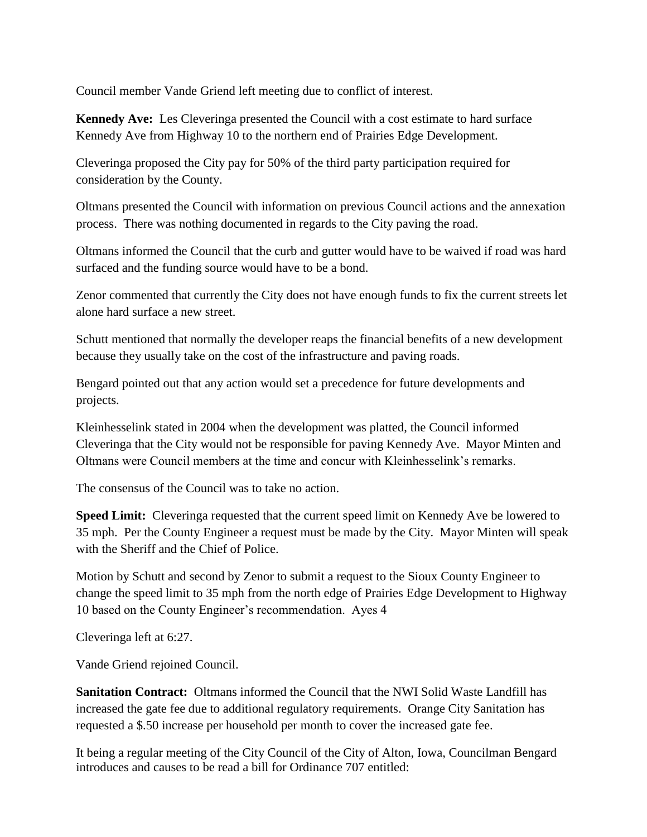Council member Vande Griend left meeting due to conflict of interest.

**Kennedy Ave:** Les Cleveringa presented the Council with a cost estimate to hard surface Kennedy Ave from Highway 10 to the northern end of Prairies Edge Development.

Cleveringa proposed the City pay for 50% of the third party participation required for consideration by the County.

Oltmans presented the Council with information on previous Council actions and the annexation process. There was nothing documented in regards to the City paving the road.

Oltmans informed the Council that the curb and gutter would have to be waived if road was hard surfaced and the funding source would have to be a bond.

Zenor commented that currently the City does not have enough funds to fix the current streets let alone hard surface a new street.

Schutt mentioned that normally the developer reaps the financial benefits of a new development because they usually take on the cost of the infrastructure and paving roads.

Bengard pointed out that any action would set a precedence for future developments and projects.

Kleinhesselink stated in 2004 when the development was platted, the Council informed Cleveringa that the City would not be responsible for paving Kennedy Ave. Mayor Minten and Oltmans were Council members at the time and concur with Kleinhesselink's remarks.

The consensus of the Council was to take no action.

**Speed Limit:** Cleveringa requested that the current speed limit on Kennedy Ave be lowered to 35 mph. Per the County Engineer a request must be made by the City. Mayor Minten will speak with the Sheriff and the Chief of Police.

Motion by Schutt and second by Zenor to submit a request to the Sioux County Engineer to change the speed limit to 35 mph from the north edge of Prairies Edge Development to Highway 10 based on the County Engineer's recommendation. Ayes 4

Cleveringa left at 6:27.

Vande Griend rejoined Council.

**Sanitation Contract:** Oltmans informed the Council that the NWI Solid Waste Landfill has increased the gate fee due to additional regulatory requirements. Orange City Sanitation has requested a \$.50 increase per household per month to cover the increased gate fee.

It being a regular meeting of the City Council of the City of Alton, Iowa, Councilman Bengard introduces and causes to be read a bill for Ordinance 707 entitled: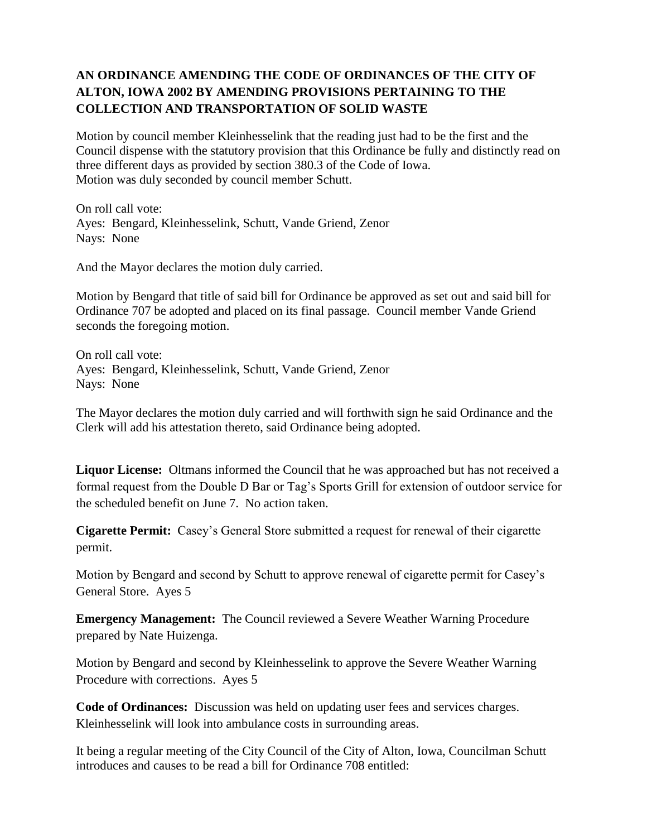# **AN ORDINANCE AMENDING THE CODE OF ORDINANCES OF THE CITY OF ALTON, IOWA 2002 BY AMENDING PROVISIONS PERTAINING TO THE COLLECTION AND TRANSPORTATION OF SOLID WASTE**

Motion by council member Kleinhesselink that the reading just had to be the first and the Council dispense with the statutory provision that this Ordinance be fully and distinctly read on three different days as provided by section 380.3 of the Code of Iowa. Motion was duly seconded by council member Schutt.

On roll call vote: Ayes: Bengard, Kleinhesselink, Schutt, Vande Griend, Zenor Nays: None

And the Mayor declares the motion duly carried.

Motion by Bengard that title of said bill for Ordinance be approved as set out and said bill for Ordinance 707 be adopted and placed on its final passage. Council member Vande Griend seconds the foregoing motion.

On roll call vote: Ayes: Bengard, Kleinhesselink, Schutt, Vande Griend, Zenor Nays: None

The Mayor declares the motion duly carried and will forthwith sign he said Ordinance and the Clerk will add his attestation thereto, said Ordinance being adopted.

**Liquor License:** Oltmans informed the Council that he was approached but has not received a formal request from the Double D Bar or Tag's Sports Grill for extension of outdoor service for the scheduled benefit on June 7. No action taken.

**Cigarette Permit:** Casey's General Store submitted a request for renewal of their cigarette permit.

Motion by Bengard and second by Schutt to approve renewal of cigarette permit for Casey's General Store. Ayes 5

**Emergency Management:** The Council reviewed a Severe Weather Warning Procedure prepared by Nate Huizenga.

Motion by Bengard and second by Kleinhesselink to approve the Severe Weather Warning Procedure with corrections. Ayes 5

**Code of Ordinances:** Discussion was held on updating user fees and services charges. Kleinhesselink will look into ambulance costs in surrounding areas.

It being a regular meeting of the City Council of the City of Alton, Iowa, Councilman Schutt introduces and causes to be read a bill for Ordinance 708 entitled: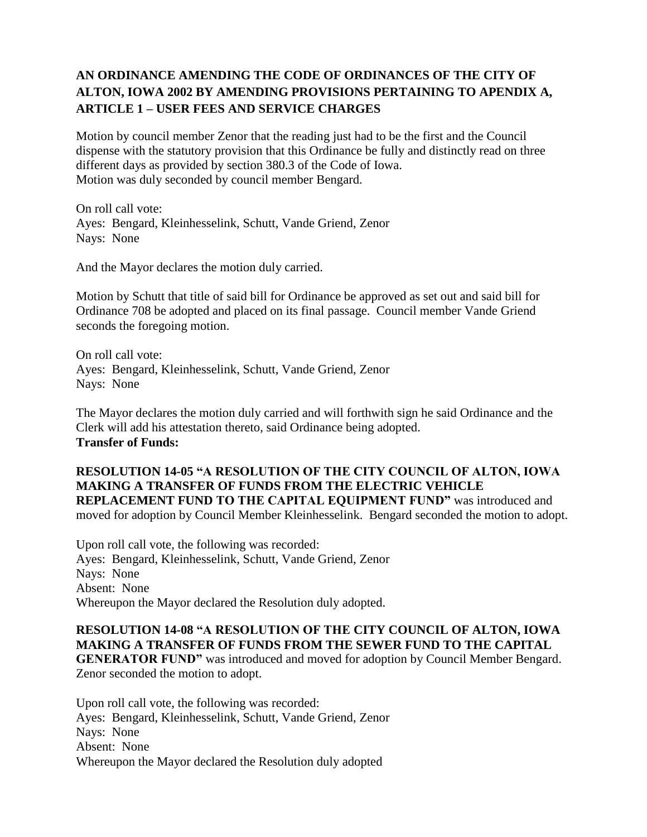# **AN ORDINANCE AMENDING THE CODE OF ORDINANCES OF THE CITY OF ALTON, IOWA 2002 BY AMENDING PROVISIONS PERTAINING TO APENDIX A, ARTICLE 1 – USER FEES AND SERVICE CHARGES**

Motion by council member Zenor that the reading just had to be the first and the Council dispense with the statutory provision that this Ordinance be fully and distinctly read on three different days as provided by section 380.3 of the Code of Iowa. Motion was duly seconded by council member Bengard.

On roll call vote: Ayes: Bengard, Kleinhesselink, Schutt, Vande Griend, Zenor Nays: None

And the Mayor declares the motion duly carried.

Motion by Schutt that title of said bill for Ordinance be approved as set out and said bill for Ordinance 708 be adopted and placed on its final passage. Council member Vande Griend seconds the foregoing motion.

On roll call vote: Ayes: Bengard, Kleinhesselink, Schutt, Vande Griend, Zenor Nays: None

The Mayor declares the motion duly carried and will forthwith sign he said Ordinance and the Clerk will add his attestation thereto, said Ordinance being adopted. **Transfer of Funds:** 

**RESOLUTION 14-05 "A RESOLUTION OF THE CITY COUNCIL OF ALTON, IOWA MAKING A TRANSFER OF FUNDS FROM THE ELECTRIC VEHICLE REPLACEMENT FUND TO THE CAPITAL EQUIPMENT FUND"** was introduced and moved for adoption by Council Member Kleinhesselink. Bengard seconded the motion to adopt.

Upon roll call vote, the following was recorded: Ayes: Bengard, Kleinhesselink, Schutt, Vande Griend, Zenor Nays: None Absent: None Whereupon the Mayor declared the Resolution duly adopted.

## **RESOLUTION 14-08 "A RESOLUTION OF THE CITY COUNCIL OF ALTON, IOWA MAKING A TRANSFER OF FUNDS FROM THE SEWER FUND TO THE CAPITAL GENERATOR FUND"** was introduced and moved for adoption by Council Member Bengard.

Zenor seconded the motion to adopt. Upon roll call vote, the following was recorded:

Ayes: Bengard, Kleinhesselink, Schutt, Vande Griend, Zenor Nays: None Absent: None Whereupon the Mayor declared the Resolution duly adopted